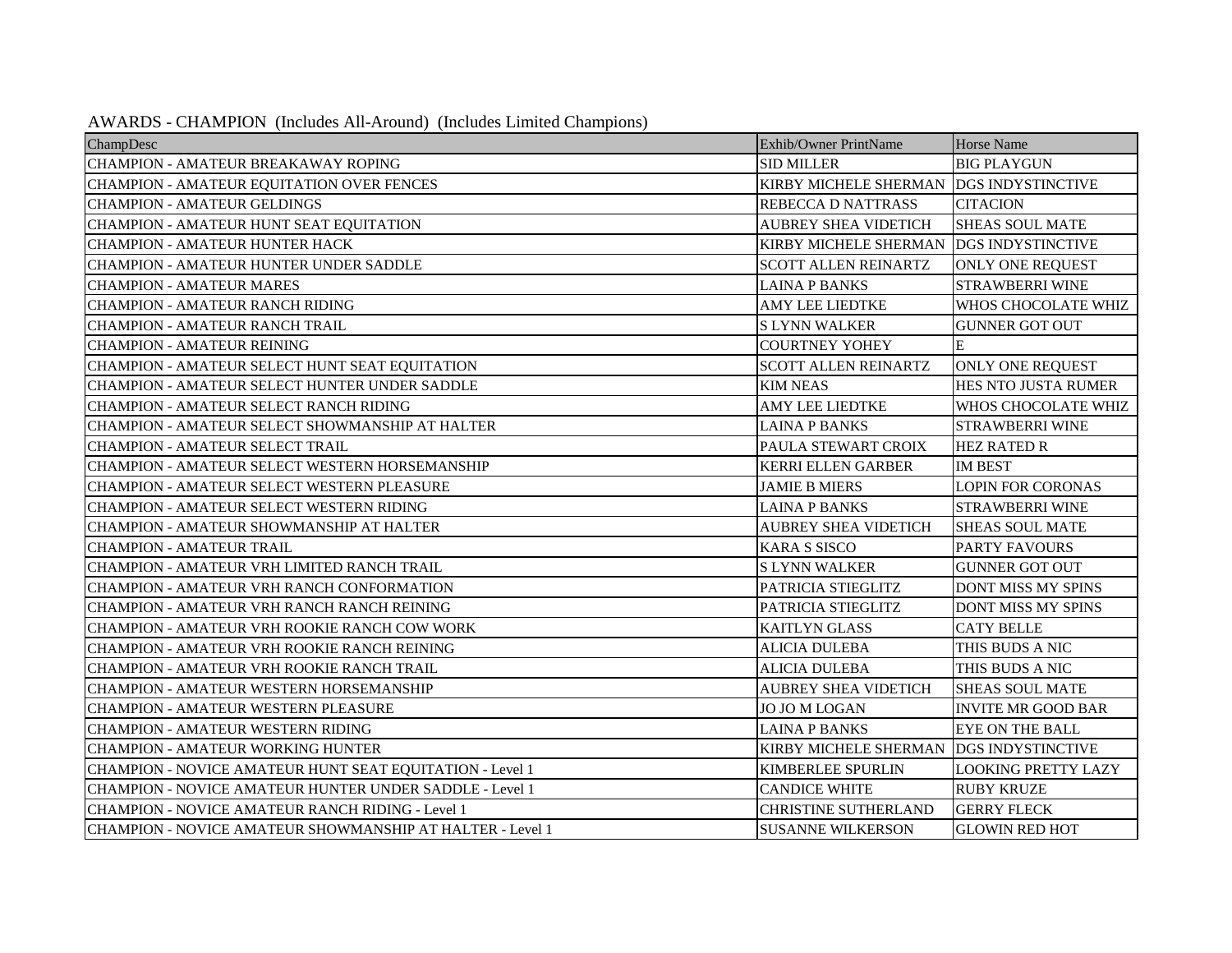| AWARDS - CHAMPION (Includes All-Around) (Includes Limited Champions) |  |  |  |
|----------------------------------------------------------------------|--|--|--|
|----------------------------------------------------------------------|--|--|--|

| ChampDesc                                                 | Exhib/Owner PrintName        | <b>Horse Name</b>          |
|-----------------------------------------------------------|------------------------------|----------------------------|
| CHAMPION - AMATEUR BREAKAWAY ROPING                       | <b>SID MILLER</b>            | <b>BIG PLAYGUN</b>         |
| CHAMPION - AMATEUR EQUITATION OVER FENCES                 | <b>KIRBY MICHELE SHERMAN</b> | <b>DGS INDYSTINCTIVE</b>   |
| <b>CHAMPION - AMATEUR GELDINGS</b>                        | <b>REBECCA D NATTRASS</b>    | <b>CITACION</b>            |
| CHAMPION - AMATEUR HUNT SEAT EQUITATION                   | <b>AUBREY SHEA VIDETICH</b>  | <b>SHEAS SOUL MATE</b>     |
| CHAMPION - AMATEUR HUNTER HACK                            | <b>KIRBY MICHELE SHERMAN</b> | <b>DGS INDYSTINCTIVE</b>   |
| CHAMPION - AMATEUR HUNTER UNDER SADDLE                    | <b>SCOTT ALLEN REINARTZ</b>  | <b>ONLY ONE REQUEST</b>    |
| <b>CHAMPION - AMATEUR MARES</b>                           | <b>LAINA P BANKS</b>         | STRAWBERRI WINE            |
| CHAMPION - AMATEUR RANCH RIDING                           | <b>AMY LEE LIEDTKE</b>       | WHOS CHOCOLATE WHIZ        |
| CHAMPION - AMATEUR RANCH TRAIL                            | <b>SLYNN WALKER</b>          | <b>GUNNER GOT OUT</b>      |
| <b>CHAMPION - AMATEUR REINING</b>                         | <b>COURTNEY YOHEY</b>        | E                          |
| CHAMPION - AMATEUR SELECT HUNT SEAT EQUITATION            | <b>SCOTT ALLEN REINARTZ</b>  | ONLY ONE REQUEST           |
| CHAMPION - AMATEUR SELECT HUNTER UNDER SADDLE             | <b>KIM NEAS</b>              | HES NTO JUSTA RUMER        |
| CHAMPION - AMATEUR SELECT RANCH RIDING                    | <b>AMY LEE LIEDTKE</b>       | WHOS CHOCOLATE WHIZ        |
| CHAMPION - AMATEUR SELECT SHOWMANSHIP AT HALTER           | <b>LAINA P BANKS</b>         | <b>STRAWBERRI WINE</b>     |
| CHAMPION - AMATEUR SELECT TRAIL                           | PAULA STEWART CROIX          | <b>HEZ RATED R</b>         |
| CHAMPION - AMATEUR SELECT WESTERN HORSEMANSHIP            | <b>KERRI ELLEN GARBER</b>    | <b>IM BEST</b>             |
| CHAMPION - AMATEUR SELECT WESTERN PLEASURE                | <b>JAMIE B MIERS</b>         | <b>LOPIN FOR CORONAS</b>   |
| CHAMPION - AMATEUR SELECT WESTERN RIDING                  | <b>LAINA P BANKS</b>         | <b>STRAWBERRI WINE</b>     |
| CHAMPION - AMATEUR SHOWMANSHIP AT HALTER                  | <b>AUBREY SHEA VIDETICH</b>  | <b>SHEAS SOUL MATE</b>     |
| <b>CHAMPION - AMATEUR TRAIL</b>                           | <b>KARA S SISCO</b>          | PARTY FAVOURS              |
| CHAMPION - AMATEUR VRH LIMITED RANCH TRAIL                | <b>SLYNN WALKER</b>          | <b>GUNNER GOT OUT</b>      |
| CHAMPION - AMATEUR VRH RANCH CONFORMATION                 | PATRICIA STIEGLITZ           | DONT MISS MY SPINS         |
| CHAMPION - AMATEUR VRH RANCH RANCH REINING                | PATRICIA STIEGLITZ           | DONT MISS MY SPINS         |
| CHAMPION - AMATEUR VRH ROOKIE RANCH COW WORK              | <b>KAITLYN GLASS</b>         | <b>CATY BELLE</b>          |
| CHAMPION - AMATEUR VRH ROOKIE RANCH REINING               | <b>ALICIA DULEBA</b>         | THIS BUDS A NIC            |
| CHAMPION - AMATEUR VRH ROOKIE RANCH TRAIL                 | <b>ALICIA DULEBA</b>         | THIS BUDS A NIC            |
| CHAMPION - AMATEUR WESTERN HORSEMANSHIP                   | <b>AUBREY SHEA VIDETICH</b>  | <b>SHEAS SOUL MATE</b>     |
| CHAMPION - AMATEUR WESTERN PLEASURE                       | JO JO M LOGAN                | <b>INVITE MR GOOD BAR</b>  |
| <b>CHAMPION - AMATEUR WESTERN RIDING</b>                  | <b>LAINA P BANKS</b>         | <b>EYE ON THE BALL</b>     |
| CHAMPION - AMATEUR WORKING HUNTER                         | <b>KIRBY MICHELE SHERMAN</b> | <b>DGS INDYSTINCTIVE</b>   |
| CHAMPION - NOVICE AMATEUR HUNT SEAT EQUITATION - Level 1  | <b>KIMBERLEE SPURLIN</b>     | <b>LOOKING PRETTY LAZY</b> |
| CHAMPION - NOVICE AMATEUR HUNTER UNDER SADDLE - Level 1   | <b>CANDICE WHITE</b>         | <b>RUBY KRUZE</b>          |
| CHAMPION - NOVICE AMATEUR RANCH RIDING - Level 1          | <b>CHRISTINE SUTHERLAND</b>  | <b>GERRY FLECK</b>         |
| CHAMPION - NOVICE AMATEUR SHOWMANSHIP AT HALTER - Level 1 | <b>SUSANNE WILKERSON</b>     | <b>GLOWIN RED HOT</b>      |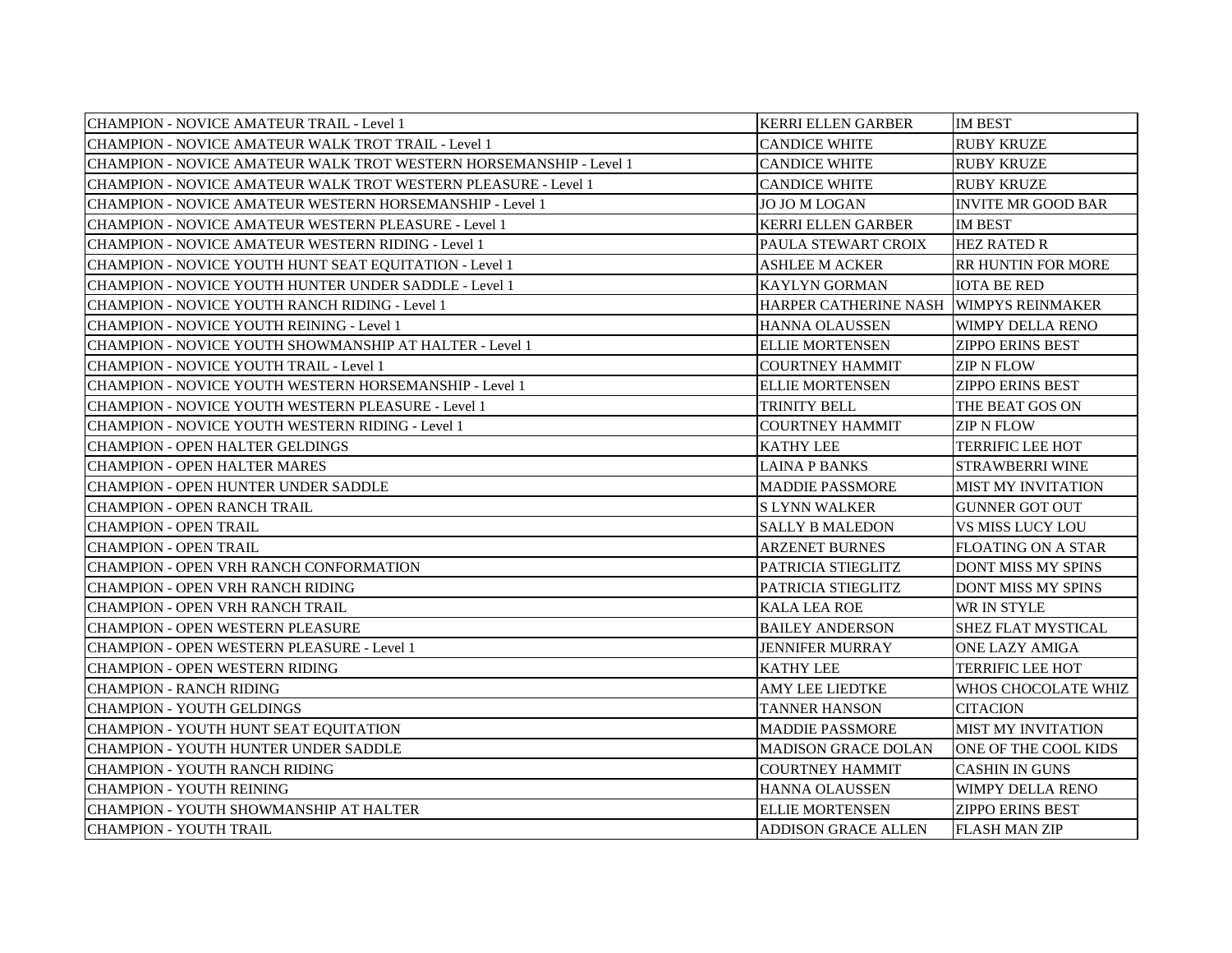| <b>CHAMPION - NOVICE AMATEUR TRAIL - Level 1</b>                   | <b>KERRI ELLEN GARBER</b>              | <b>IM BEST</b>            |
|--------------------------------------------------------------------|----------------------------------------|---------------------------|
| CHAMPION - NOVICE AMATEUR WALK TROT TRAIL - Level 1                | <b>CANDICE WHITE</b>                   | <b>RUBY KRUZE</b>         |
| CHAMPION - NOVICE AMATEUR WALK TROT WESTERN HORSEMANSHIP - Level 1 | <b>CANDICE WHITE</b>                   | <b>RUBY KRUZE</b>         |
| CHAMPION - NOVICE AMATEUR WALK TROT WESTERN PLEASURE - Level 1     | <b>CANDICE WHITE</b>                   | <b>RUBY KRUZE</b>         |
| CHAMPION - NOVICE AMATEUR WESTERN HORSEMANSHIP - Level 1           | JO JO M LOGAN                          | <b>INVITE MR GOOD BAR</b> |
| CHAMPION - NOVICE AMATEUR WESTERN PLEASURE - Level 1               | <b>KERRI ELLEN GARBER</b>              | <b>IM BEST</b>            |
| CHAMPION - NOVICE AMATEUR WESTERN RIDING - Level 1                 | PAULA STEWART CROIX                    | <b>HEZ RATED R</b>        |
| CHAMPION - NOVICE YOUTH HUNT SEAT EQUITATION - Level 1             | <b>ASHLEE M ACKER</b>                  | <b>RR HUNTIN FOR MORE</b> |
| CHAMPION - NOVICE YOUTH HUNTER UNDER SADDLE - Level 1              | <b>KAYLYN GORMAN</b>                   | <b>IOTA BE RED</b>        |
| <b>CHAMPION - NOVICE YOUTH RANCH RIDING - Level 1</b>              | HARPER CATHERINE NASH WIMPYS REINMAKER |                           |
| CHAMPION - NOVICE YOUTH REINING - Level 1                          | HANNA OLAUSSEN                         | <b>WIMPY DELLA RENO</b>   |
| CHAMPION - NOVICE YOUTH SHOWMANSHIP AT HALTER - Level 1            | <b>ELLIE MORTENSEN</b>                 | <b>ZIPPO ERINS BEST</b>   |
| <b>CHAMPION - NOVICE YOUTH TRAIL - Level 1</b>                     | <b>COURTNEY HAMMIT</b>                 | ZIP N FLOW                |
| CHAMPION - NOVICE YOUTH WESTERN HORSEMANSHIP - Level 1             | <b>ELLIE MORTENSEN</b>                 | <b>ZIPPO ERINS BEST</b>   |
| CHAMPION - NOVICE YOUTH WESTERN PLEASURE - Level 1                 | TRINITY BELL                           | THE BEAT GOS ON           |
| CHAMPION - NOVICE YOUTH WESTERN RIDING - Level 1                   | <b>COURTNEY HAMMIT</b>                 | ZIP N FLOW                |
| <b>CHAMPION - OPEN HALTER GELDINGS</b>                             | <b>KATHY LEE</b>                       | <b>TERRIFIC LEE HOT</b>   |
| <b>CHAMPION - OPEN HALTER MARES</b>                                | LAINA P BANKS                          | STRAWBERRI WINE           |
| <b>CHAMPION - OPEN HUNTER UNDER SADDLE</b>                         | <b>MADDIE PASSMORE</b>                 | <b>MIST MY INVITATION</b> |
| <b>CHAMPION - OPEN RANCH TRAIL</b>                                 | <b>SLYNN WALKER</b>                    | <b>GUNNER GOT OUT</b>     |
| <b>CHAMPION - OPEN TRAIL</b>                                       | <b>SALLY B MALEDON</b>                 | VS MISS LUCY LOU          |
| <b>CHAMPION - OPEN TRAIL</b>                                       | <b>ARZENET BURNES</b>                  | <b>FLOATING ON A STAR</b> |
| <b>CHAMPION - OPEN VRH RANCH CONFORMATION</b>                      | PATRICIA STIEGLITZ                     | DONT MISS MY SPINS        |
| CHAMPION - OPEN VRH RANCH RIDING                                   | PATRICIA STIEGLITZ                     | <b>DONT MISS MY SPINS</b> |
| CHAMPION - OPEN VRH RANCH TRAIL                                    | <b>KALA LEA ROE</b>                    | WR IN STYLE               |
| CHAMPION - OPEN WESTERN PLEASURE                                   | <b>BAILEY ANDERSON</b>                 | SHEZ FLAT MYSTICAL        |
| CHAMPION - OPEN WESTERN PLEASURE - Level 1                         | JENNIFER MURRAY                        | <b>ONE LAZY AMIGA</b>     |
| <b>CHAMPION - OPEN WESTERN RIDING</b>                              | KATHY LEE                              | TERRIFIC LEE HOT          |
| <b>CHAMPION - RANCH RIDING</b>                                     | <b>AMY LEE LIEDTKE</b>                 | WHOS CHOCOLATE WHIZ       |
| CHAMPION - YOUTH GELDINGS                                          | <b>TANNER HANSON</b>                   | <b>CITACION</b>           |
| CHAMPION - YOUTH HUNT SEAT EQUITATION                              | <b>MADDIE PASSMORE</b>                 | <b>MIST MY INVITATION</b> |
| CHAMPION - YOUTH HUNTER UNDER SADDLE                               | <b>MADISON GRACE DOLAN</b>             | ONE OF THE COOL KIDS      |
| <b>CHAMPION - YOUTH RANCH RIDING</b>                               | <b>COURTNEY HAMMIT</b>                 | <b>CASHIN IN GUNS</b>     |
| <b>CHAMPION - YOUTH REINING</b>                                    | <b>HANNA OLAUSSEN</b>                  | WIMPY DELLA RENO          |
| CHAMPION - YOUTH SHOWMANSHIP AT HALTER                             | <b>ELLIE MORTENSEN</b>                 | <b>ZIPPO ERINS BEST</b>   |
| CHAMPION - YOUTH TRAIL                                             | <b>ADDISON GRACE ALLEN</b>             | <b>FLASH MAN ZIP</b>      |